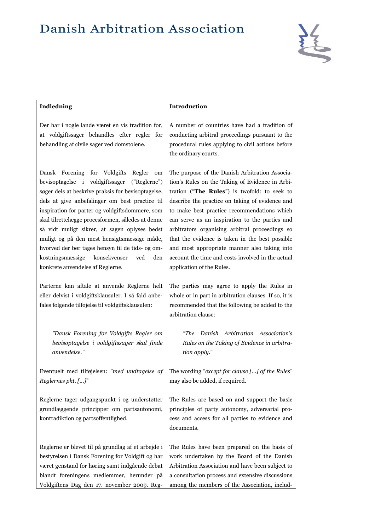

| <b>Indledning</b>                                                                                                                                                                                                                                                                                                                                                                                                                                                                                                                                      | Introduction                                                                                                                                                                                                                                                                                                                                                                                                                                                                                                                                 |
|--------------------------------------------------------------------------------------------------------------------------------------------------------------------------------------------------------------------------------------------------------------------------------------------------------------------------------------------------------------------------------------------------------------------------------------------------------------------------------------------------------------------------------------------------------|----------------------------------------------------------------------------------------------------------------------------------------------------------------------------------------------------------------------------------------------------------------------------------------------------------------------------------------------------------------------------------------------------------------------------------------------------------------------------------------------------------------------------------------------|
| Der har i nogle lande været en vis tradition for,<br>at voldgiftssager behandles efter regler for<br>behandling af civile sager ved domstolene.                                                                                                                                                                                                                                                                                                                                                                                                        | A number of countries have had a tradition of<br>conducting arbitral proceedings pursuant to the<br>procedural rules applying to civil actions before<br>the ordinary courts.                                                                                                                                                                                                                                                                                                                                                                |
| Dansk Forening for Voldgifts<br>Regler<br>om<br>bevisoptagelse i voldgiftssager<br>("Reglerne")<br>søger dels at beskrive praksis for bevisoptagelse,<br>dels at give anbefalinger om best practice til<br>inspiration for parter og voldgiftsdommere, som<br>skal tilrettelægge procesformen, således at denne<br>så vidt muligt sikrer, at sagen oplyses bedst<br>muligt og på den mest hensigtsmæssige måde,<br>hvorved der bør tages hensyn til de tids- og om-<br>kostningsmæssige konsekvenser<br>ved<br>den<br>konkrete anvendelse af Reglerne. | The purpose of the Danish Arbitration Associa-<br>tion's Rules on the Taking of Evidence in Arbi-<br>tration ("The Rules") is twofold: to seek to<br>describe the practice on taking of evidence and<br>to make best practice recommendations which<br>can serve as an inspiration to the parties and<br>arbitrators organising arbitral proceedings so<br>that the evidence is taken in the best possible<br>and most appropriate manner also taking into<br>account the time and costs involved in the actual<br>application of the Rules. |
| Parterne kan aftale at anvende Reglerne helt<br>eller delvist i voldgiftsklausuler. I så fald anbe-<br>fales følgende tilføjelse til voldgiftsklausulen:                                                                                                                                                                                                                                                                                                                                                                                               | The parties may agree to apply the Rules in<br>whole or in part in arbitration clauses. If so, it is<br>recommended that the following be added to the<br>arbitration clause:                                                                                                                                                                                                                                                                                                                                                                |
| "Dansk Forening for Voldgifts Regler om<br>bevisoptagelse i voldgiftssager skal finde<br>anvendelse."                                                                                                                                                                                                                                                                                                                                                                                                                                                  | "The Danish Arbitration Association's<br>Rules on the Taking of Evidence in arbitra-<br>tion apply."                                                                                                                                                                                                                                                                                                                                                                                                                                         |
| Eventuelt med tilføjelsen: "med undtagelse af<br>Reglernes pkt. []"                                                                                                                                                                                                                                                                                                                                                                                                                                                                                    | The wording "except for clause [] of the Rules"<br>may also be added, if required.                                                                                                                                                                                                                                                                                                                                                                                                                                                           |
| Reglerne tager udgangspunkt i og understøtter<br>grundlæggende principper om partsautonomi,<br>kontradiktion og partsoffentlighed.                                                                                                                                                                                                                                                                                                                                                                                                                     | The Rules are based on and support the basic<br>principles of party autonomy, adversarial pro-<br>cess and access for all parties to evidence and<br>documents.                                                                                                                                                                                                                                                                                                                                                                              |
| Reglerne er blevet til på grundlag af et arbejde i<br>bestyrelsen i Dansk Forening for Voldgift og har<br>været genstand for høring samt indgående debat<br>blandt foreningens medlemmer, herunder på<br>Voldgiftens Dag den 17. november 2009. Reg-                                                                                                                                                                                                                                                                                                   | The Rules have been prepared on the basis of<br>work undertaken by the Board of the Danish<br>Arbitration Association and have been subject to<br>a consultation process and extensive discussions<br>among the members of the Association, includ-                                                                                                                                                                                                                                                                                          |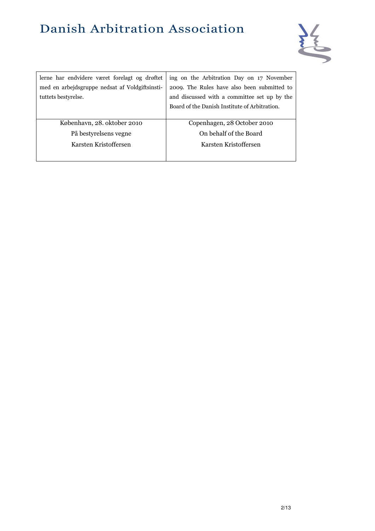

| lerne har endvidere været forelagt og drøftet<br>med en arbejdsgruppe nedsat af Voldgiftsinsti-<br>tuttets bestyrelse. | ing on the Arbitration Day on 17 November<br>2009. The Rules have also been submitted to<br>and discussed with a committee set up by the<br>Board of the Danish Institute of Arbitration. |
|------------------------------------------------------------------------------------------------------------------------|-------------------------------------------------------------------------------------------------------------------------------------------------------------------------------------------|
| København, 28. oktober 2010                                                                                            | Copenhagen, 28 October 2010                                                                                                                                                               |
| På bestyrelsens vegne                                                                                                  | On behalf of the Board                                                                                                                                                                    |
| Karsten Kristoffersen                                                                                                  | Karsten Kristoffersen                                                                                                                                                                     |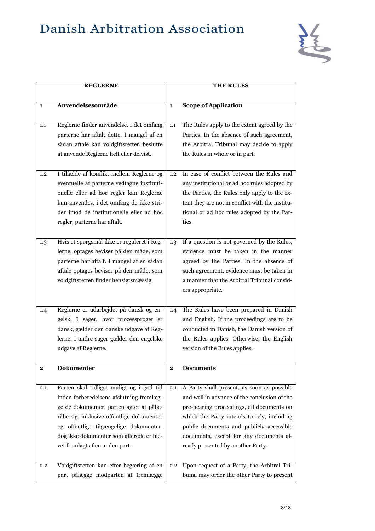

|              | <b>REGLERNE</b>                                                                                                                                                                                                                                                                                      |              | <b>THE RULES</b>                                                                                                                                                                                                                                                                                                  |
|--------------|------------------------------------------------------------------------------------------------------------------------------------------------------------------------------------------------------------------------------------------------------------------------------------------------------|--------------|-------------------------------------------------------------------------------------------------------------------------------------------------------------------------------------------------------------------------------------------------------------------------------------------------------------------|
|              |                                                                                                                                                                                                                                                                                                      |              |                                                                                                                                                                                                                                                                                                                   |
| $\mathbf{1}$ | Anvendelsesområde                                                                                                                                                                                                                                                                                    | $\mathbf{1}$ | <b>Scope of Application</b>                                                                                                                                                                                                                                                                                       |
| 1,1          | Reglerne finder anvendelse, i det omfang<br>parterne har aftalt dette. I mangel af en<br>sådan aftale kan voldgiftsretten beslutte<br>at anvende Reglerne helt eller delvist.                                                                                                                        | 1.1          | The Rules apply to the extent agreed by the<br>Parties. In the absence of such agreement,<br>the Arbitral Tribunal may decide to apply<br>the Rules in whole or in part.                                                                                                                                          |
| 1,2          | I tilfælde af konflikt mellem Reglerne og<br>eventuelle af parterne vedtagne instituti-<br>onelle eller ad hoc regler kan Reglerne<br>kun anvendes, i det omfang de ikke stri-<br>der imod de institutionelle eller ad hoc<br>regler, parterne har aftalt.                                           | 1.2          | In case of conflict between the Rules and<br>any institutional or ad hoc rules adopted by<br>the Parties, the Rules only apply to the ex-<br>tent they are not in conflict with the institu-<br>tional or ad hoc rules adopted by the Par-<br>ties.                                                               |
| 1.3          | Hvis et spørgsmål ikke er reguleret i Reg-<br>lerne, optages beviser på den måde, som<br>parterne har aftalt. I mangel af en sådan<br>aftale optages beviser på den måde, som<br>voldgiftsretten finder hensigtsmæssig.                                                                              | 1.3          | If a question is not governed by the Rules,<br>evidence must be taken in the manner<br>agreed by the Parties. In the absence of<br>such agreement, evidence must be taken in<br>a manner that the Arbitral Tribunal consid-<br>ers appropriate.                                                                   |
| 1.4          | Reglerne er udarbejdet på dansk og en-<br>gelsk. I sager, hvor processproget er<br>dansk, gælder den danske udgave af Reg-<br>lerne. I andre sager gælder den engelske<br>udgave af Reglerne.                                                                                                        | 1.4          | The Rules have been prepared in Danish<br>and English. If the proceedings are to be<br>conducted in Danish, the Danish version of<br>the Rules applies. Otherwise, the English<br>version of the Rules applies.                                                                                                   |
| $\mathbf{2}$ | <b>Dokumenter</b>                                                                                                                                                                                                                                                                                    | 2            | <b>Documents</b>                                                                                                                                                                                                                                                                                                  |
| 2.1          | Parten skal tidligst muligt og i god tid<br>inden forberedelsens afslutning fremlæg-<br>ge de dokumenter, parten agter at påbe-<br>råbe sig, inklusive offentlige dokumenter<br>og offentligt tilgængelige dokumenter,<br>dog ikke dokumenter som allerede er ble-<br>vet fremlagt af en anden part. | 2.1          | A Party shall present, as soon as possible<br>and well in advance of the conclusion of the<br>pre-hearing proceedings, all documents on<br>which the Party intends to rely, including<br>public documents and publicly accessible<br>documents, except for any documents al-<br>ready presented by another Party. |
| $2.2\,$      | Voldgiftsretten kan efter begæring af en<br>part pålægge modparten at fremlægge                                                                                                                                                                                                                      | 2.2          | Upon request of a Party, the Arbitral Tri-<br>bunal may order the other Party to present                                                                                                                                                                                                                          |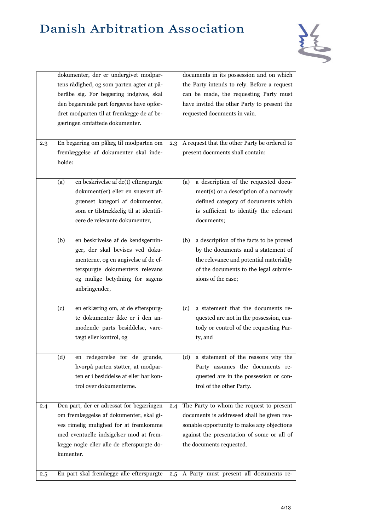

|     |        | dokumenter, der er undergivet modpar-      |     | documents in its possession and on which       |
|-----|--------|--------------------------------------------|-----|------------------------------------------------|
|     |        | tens rådighed, og som parten agter at på-  |     | the Party intends to rely. Before a request    |
|     |        | beråbe sig. Før begæring indgives, skal    |     | can be made, the requesting Party must         |
|     |        | den begærende part forgæves have opfor-    |     | have invited the other Party to present the    |
|     |        | dret modparten til at fremlægge de af be-  |     | requested documents in vain.                   |
|     |        |                                            |     |                                                |
|     |        | gæringen omfattede dokumenter.             |     |                                                |
|     |        |                                            |     |                                                |
| 2.3 |        | En begæring om pålæg til modparten om      | 2.3 | A request that the other Party be ordered to   |
|     |        | fremlæggelse af dokumenter skal inde-      |     | present documents shall contain:               |
|     | holde: |                                            |     |                                                |
|     |        |                                            |     |                                                |
|     | (a)    | en beskrivelse af de(t) efterspurgte       |     | a description of the requested docu-<br>(a)    |
|     |        | dokument(er) eller en snævert af-          |     | ment(s) or a description of a narrowly         |
|     |        | grænset kategori af dokumenter,            |     | defined category of documents which            |
|     |        | som er tilstrækkelig til at identifi-      |     | is sufficient to identify the relevant         |
|     |        | cere de relevante dokumenter,              |     | documents;                                     |
|     |        |                                            |     |                                                |
|     | (b)    | en beskrivelse af de kendsgernin-          |     | a description of the facts to be proved<br>(b) |
|     |        | ger, der skal bevises ved doku-            |     | by the documents and a statement of            |
|     |        | menterne, og en angivelse af de ef-        |     | the relevance and potential materiality        |
|     |        | terspurgte dokumenters relevans            |     | of the documents to the legal submis-          |
|     |        | og mulige betydning for sagens             |     | sions of the case;                             |
|     |        | anbringender,                              |     |                                                |
|     |        |                                            |     |                                                |
|     | (c)    | en erklæring om, at de efterspurg-         |     | a statement that the documents re-<br>(c)      |
|     |        | te dokumenter ikke er i den an-            |     | quested are not in the possession, cus-        |
|     |        | modende parts besiddelse, vare-            |     | tody or control of the requesting Par-         |
|     |        | tægt eller kontrol, og                     |     | ty, and                                        |
|     |        |                                            |     |                                                |
|     | (d)    | en redegørelse for de grunde,              |     | a statement of the reasons why the<br>(d)      |
|     |        | hvorpå parten støtter, at modpar-          |     | Party assumes the documents re-                |
|     |        | ten er i besiddelse af eller har kon-      |     |                                                |
|     |        |                                            |     | quested are in the possession or con-          |
|     |        | trol over dokumenterne.                    |     | trol of the other Party.                       |
| 2.4 |        | Den part, der er adressat for begæringen   | 2.4 | The Party to whom the request to present       |
|     |        | om fremlæggelse af dokumenter, skal gi-    |     | documents is addressed shall be given rea-     |
|     |        | ves rimelig mulighed for at fremkomme      |     | sonable opportunity to make any objections     |
|     |        |                                            |     |                                                |
|     |        | med eventuelle indsigelser mod at frem-    |     | against the presentation of some or all of     |
|     |        | lægge nogle eller alle de efterspurgte do- |     | the documents requested.                       |
|     |        | kumenter.                                  |     |                                                |
|     |        |                                            |     |                                                |
| 2.5 |        | En part skal fremlægge alle efterspurgte   | 2.5 | A Party must present all documents re-         |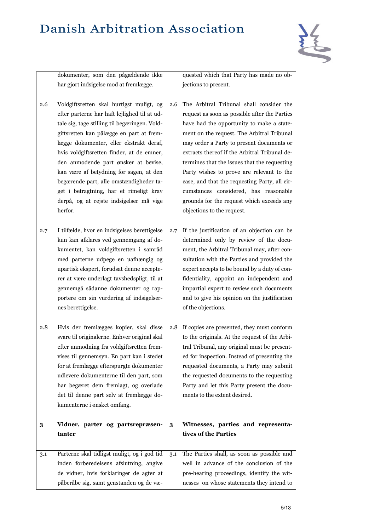

|     | dokumenter, som den pågældende ikke                                                                                                                                                                                                                                                                                                                                                                                                                                                               |     | quested which that Party has made no ob-                                                                                                                                                                                                                                                                                                                                                                                                                                                                               |
|-----|---------------------------------------------------------------------------------------------------------------------------------------------------------------------------------------------------------------------------------------------------------------------------------------------------------------------------------------------------------------------------------------------------------------------------------------------------------------------------------------------------|-----|------------------------------------------------------------------------------------------------------------------------------------------------------------------------------------------------------------------------------------------------------------------------------------------------------------------------------------------------------------------------------------------------------------------------------------------------------------------------------------------------------------------------|
|     | har gjort indsigelse mod at fremlægge.                                                                                                                                                                                                                                                                                                                                                                                                                                                            |     | jections to present.                                                                                                                                                                                                                                                                                                                                                                                                                                                                                                   |
|     |                                                                                                                                                                                                                                                                                                                                                                                                                                                                                                   |     |                                                                                                                                                                                                                                                                                                                                                                                                                                                                                                                        |
| 2.6 | Voldgiftsretten skal hurtigst muligt, og<br>efter parterne har haft lejlighed til at ud-<br>tale sig, tage stilling til begæringen. Vold-<br>giftsretten kan pålægge en part at frem-<br>lægge dokumenter, eller ekstrakt deraf,<br>hvis voldgiftsretten finder, at de emner,<br>den anmodende part ønsker at bevise,<br>kan være af betydning for sagen, at den<br>begærende part, alle omstændigheder ta-<br>get i betragtning, har et rimeligt krav<br>derpå, og at rejste indsigelser må vige | 2.6 | The Arbitral Tribunal shall consider the<br>request as soon as possible after the Parties<br>have had the opportunity to make a state-<br>ment on the request. The Arbitral Tribunal<br>may order a Party to present documents or<br>extracts thereof if the Arbitral Tribunal de-<br>termines that the issues that the requesting<br>Party wishes to prove are relevant to the<br>case, and that the requesting Party, all cir-<br>cumstances considered, has reasonable<br>grounds for the request which exceeds any |
| 2.7 | herfor.<br>I tilfælde, hvor en indsigelses berettigelse<br>kun kan afklares ved gennemgang af do-<br>kumentet, kan voldgiftsretten i samråd<br>med parterne udpege en uafhængig og<br>upartisk ekspert, forudsat denne accepte-<br>rer at være underlagt tavshedspligt, til at<br>gennemgå sådanne dokumenter og rap-                                                                                                                                                                             | 2.7 | objections to the request.<br>If the justification of an objection can be<br>determined only by review of the docu-<br>ment, the Arbitral Tribunal may, after con-<br>sultation with the Parties and provided the<br>expert accepts to be bound by a duty of con-<br>fidentiality, appoint an independent and<br>impartial expert to review such documents                                                                                                                                                             |
|     | portere om sin vurdering af indsigelser-<br>nes berettigelse.                                                                                                                                                                                                                                                                                                                                                                                                                                     |     | and to give his opinion on the justification<br>of the objections.                                                                                                                                                                                                                                                                                                                                                                                                                                                     |
| 2.8 | Hvis der fremlægges kopier, skal disse<br>svare til originalerne. Enhver original skal<br>efter anmodning fra voldgiftsretten frem-<br>vises til gennemsyn. En part kan i stedet<br>for at fremlægge efterspurgte dokumenter<br>udlevere dokumenterne til den part, som<br>har begæret dem fremlagt, og overlade<br>det til denne part selv at fremlægge do-<br>kumenterne i ønsket omfang.                                                                                                       | 2.8 | If copies are presented, they must conform<br>to the originals. At the request of the Arbi-<br>tral Tribunal, any original must be present-<br>ed for inspection. Instead of presenting the<br>requested documents, a Party may submit<br>the requested documents to the requesting<br>Party and let this Party present the docu-<br>ments to the extent desired.                                                                                                                                                      |
| 3   | Vidner, parter og partsrepræsen-<br>tanter                                                                                                                                                                                                                                                                                                                                                                                                                                                        | 3   | Witnesses, parties and representa-<br>tives of the Parties                                                                                                                                                                                                                                                                                                                                                                                                                                                             |
| 3.1 | Parterne skal tidligst muligt, og i god tid<br>inden forberedelsens afslutning, angive<br>de vidner, hvis forklaringer de agter at<br>påberåbe sig, samt genstanden og de væ-                                                                                                                                                                                                                                                                                                                     | 3.1 | The Parties shall, as soon as possible and<br>well in advance of the conclusion of the<br>pre-hearing proceedings, identify the wit-<br>nesses on whose statements they intend to                                                                                                                                                                                                                                                                                                                                      |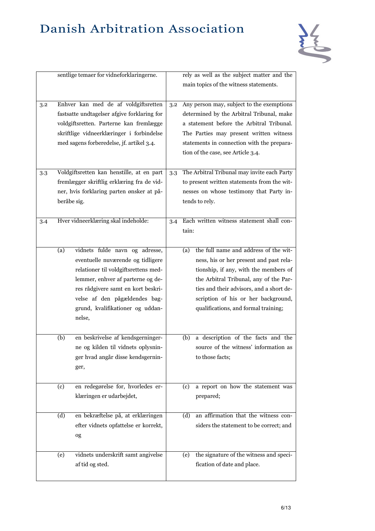

|     |             | sentlige temaer for vidneforklaringerne.                                                                                                                                                                                                                              |     | rely as well as the subject matter and the<br>main topics of the witness statements.                                                                                                                                                                                                                  |
|-----|-------------|-----------------------------------------------------------------------------------------------------------------------------------------------------------------------------------------------------------------------------------------------------------------------|-----|-------------------------------------------------------------------------------------------------------------------------------------------------------------------------------------------------------------------------------------------------------------------------------------------------------|
| 3.2 |             | Enhver kan med de af voldgiftsretten<br>fastsatte undtagelser afgive forklaring for<br>voldgiftsretten. Parterne kan fremlægge<br>skriftlige vidneerklæringer i forbindelse<br>med sagens forberedelse, jf. artikel 3.4.                                              | 3.2 | Any person may, subject to the exemptions<br>determined by the Arbitral Tribunal, make<br>a statement before the Arbitral Tribunal.<br>The Parties may present written witness<br>statements in connection with the prepara-<br>tion of the case, see Article 3.4.                                    |
| 3.3 | beråbe sig. | Voldgiftsretten kan henstille, at en part<br>fremlægger skriftlig erklæring fra de vid-<br>ner, hvis forklaring parten ønsker at på-                                                                                                                                  | 3.3 | The Arbitral Tribunal may invite each Party<br>to present written statements from the wit-<br>nesses on whose testimony that Party in-<br>tends to rely.                                                                                                                                              |
| 3.4 |             | Hver vidneerklæring skal indeholde:                                                                                                                                                                                                                                   | 3.4 | Each written witness statement shall con-<br>tain:                                                                                                                                                                                                                                                    |
|     | (a)         | vidnets fulde navn og adresse,<br>eventuelle nuværende og tidligere<br>relationer til voldgiftsrettens med-<br>lemmer, enhver af parterne og de-<br>res rådgivere samt en kort beskri-<br>velse af den pågældendes bag-<br>grund, kvalifikationer og uddan-<br>nelse, |     | the full name and address of the wit-<br>(a)<br>ness, his or her present and past rela-<br>tionship, if any, with the members of<br>the Arbitral Tribunal, any of the Par-<br>ties and their advisors, and a short de-<br>scription of his or her background,<br>qualifications, and formal training; |
|     | (b)         | en beskrivelse af kendsgerninger-<br>ne og kilden til vidnets oplysnin-<br>ger hvad angår disse kendsgernin-<br>ger,                                                                                                                                                  |     | a description of the facts and the<br>(b)<br>source of the witness' information as<br>to those facts;                                                                                                                                                                                                 |
|     | (c)         | en redegørelse for, hvorledes er-<br>klæringen er udarbejdet,                                                                                                                                                                                                         |     | a report on how the statement was<br>(c)<br>prepared;                                                                                                                                                                                                                                                 |
|     | (d)         | en bekræftelse på, at erklæringen<br>efter vidnets opfattelse er korrekt,<br>og                                                                                                                                                                                       |     | an affirmation that the witness con-<br>(d)<br>siders the statement to be correct; and                                                                                                                                                                                                                |
|     | (e)         | vidnets underskrift samt angivelse<br>af tid og sted.                                                                                                                                                                                                                 |     | the signature of the witness and speci-<br>(e)<br>fication of date and place.                                                                                                                                                                                                                         |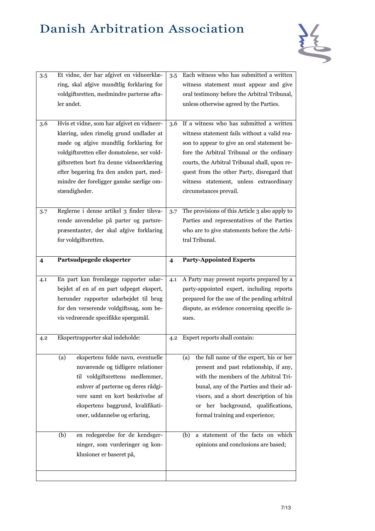

| 3.5 | Et vidne, der har afgivet en vidneerklæ-<br>ring, skal afgive mundtlig forklaring for<br>voldgiftsretten, medmindre parterne afta-<br>ler andet.                                                                                                                                                                                                                          | 3.5                     | Each witness who has submitted a written<br>witness statement must appear and give<br>oral testimony before the Arbitral Tribunal,<br>unless otherwise agreed by the Parties.                                                                                                                                                                                                      |
|-----|---------------------------------------------------------------------------------------------------------------------------------------------------------------------------------------------------------------------------------------------------------------------------------------------------------------------------------------------------------------------------|-------------------------|------------------------------------------------------------------------------------------------------------------------------------------------------------------------------------------------------------------------------------------------------------------------------------------------------------------------------------------------------------------------------------|
| 3.6 | Hvis et vidne, som har afgivet en vidneer-<br>klæring, uden rimelig grund undlader at<br>møde og afgive mundtlig forklaring for<br>voldgiftsretten eller domstolene, ser vold-<br>giftsretten bort fra denne vidneerklæring<br>efter begæring fra den anden part, med-<br>mindre der foreligger ganske særlige om-<br>stændigheder.                                       | 3.6                     | If a witness who has submitted a written<br>witness statement fails without a valid rea-<br>son to appear to give an oral statement be-<br>fore the Arbitral Tribunal or the ordinary<br>courts, the Arbitral Tribunal shall, upon re-<br>quest from the other Party, disregard that<br>witness statement, unless extraordinary<br>circumstances prevail.                          |
| 3.7 | Reglerne i denne artikel 3 finder tilsva-<br>rende anvendelse på parter og partsre-<br>præsentanter, der skal afgive forklaring<br>for voldgiftsretten.                                                                                                                                                                                                                   | 3.7                     | The provisions of this Article 3 also apply to<br>Parties and representatives of the Parties<br>who are to give statements before the Arbi-<br>tral Tribunal.                                                                                                                                                                                                                      |
| 4   | Partsudpegede eksperter                                                                                                                                                                                                                                                                                                                                                   | $\overline{\mathbf{4}}$ | <b>Party-Appointed Experts</b>                                                                                                                                                                                                                                                                                                                                                     |
|     |                                                                                                                                                                                                                                                                                                                                                                           |                         |                                                                                                                                                                                                                                                                                                                                                                                    |
| 4.1 | En part kan fremlægge rapporter udar-<br>bejdet af en af en part udpeget ekspert,<br>herunder rapporter udarbejdet til brug<br>for den verserende voldgiftssag, som be-<br>vis vedrørende specifikke spørgsmål.                                                                                                                                                           | 4.1                     | A Party may present reports prepared by a<br>party-appointed expert, including reports<br>prepared for the use of the pending arbitral<br>dispute, as evidence concerning specific is-<br>sues.                                                                                                                                                                                    |
| 4.2 | Ekspertrapporter skal indeholde:                                                                                                                                                                                                                                                                                                                                          | 4.2                     | Expert reports shall contain:                                                                                                                                                                                                                                                                                                                                                      |
|     | ekspertens fulde navn, eventuelle<br>(a)<br>nuværende og tidligere relationer<br>til voldgiftsrettens medlemmer,<br>enhver af parterne og deres rådgi-<br>vere samt en kort beskrivelse af<br>ekspertens baggrund, kvalifikati-<br>oner, uddannelse og erfaring,<br>en redegørelse for de kendsger-<br>(b)<br>ninger, som vurderinger og kon-<br>klusioner er baseret på, |                         | the full name of the expert, his or her<br>(a)<br>present and past relationship, if any,<br>with the members of the Arbitral Tri-<br>bunal, any of the Parties and their ad-<br>visors, and a short description of his<br>or her background, qualifications,<br>formal training and experience;<br>a statement of the facts on which<br>(b)<br>opinions and conclusions are based; |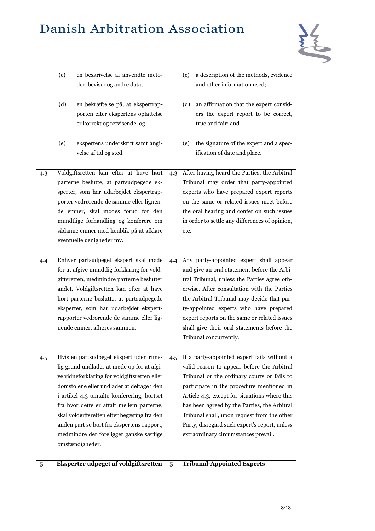

|     | (c) | en beskrivelse af anvendte meto-             |     | a description of the methods, evidence<br>(c)  |
|-----|-----|----------------------------------------------|-----|------------------------------------------------|
|     |     | der, beviser og andre data,                  |     | and other information used;                    |
|     |     |                                              |     |                                                |
|     | (d) | en bekræftelse på, at ekspertrap-            |     | (d)<br>an affirmation that the expert consid-  |
|     |     | porten efter ekspertens opfattelse           |     | ers the expert report to be correct,           |
|     |     | er korrekt og retvisende, og                 |     | true and fair; and                             |
|     |     |                                              |     |                                                |
|     | (e) | ekspertens underskrift samt angi-            |     | the signature of the expert and a spec-<br>(e) |
|     |     | velse af tid og sted.                        |     | ification of date and place.                   |
|     |     |                                              |     |                                                |
| 4.3 |     | Voldgiftsretten kan efter at have hørt       | 4.3 | After having heard the Parties, the Arbitral   |
|     |     | parterne beslutte, at partsudpegede ek-      |     | Tribunal may order that party-appointed        |
|     |     | sperter, som har udarbejdet ekspertrap-      |     | experts who have prepared expert reports       |
|     |     | porter vedrørende de samme eller lignen-     |     | on the same or related issues meet before      |
|     |     | de emner, skal mødes forud for den           |     | the oral hearing and confer on such issues     |
|     |     | mundtlige forhandling og konferere om        |     | in order to settle any differences of opinion, |
|     |     | sådanne emner med henblik på at afklare      |     | etc.                                           |
|     |     | eventuelle uenigheder mv.                    |     |                                                |
|     |     |                                              |     |                                                |
| 4.4 |     | Enhver partsudpeget ekspert skal møde        | 4.4 | Any party-appointed expert shall appear        |
|     |     | for at afgive mundtlig forklaring for vold-  |     | and give an oral statement before the Arbi-    |
|     |     | giftsretten, medmindre parterne beslutter    |     | tral Tribunal, unless the Parties agree oth-   |
|     |     | andet. Voldgiftsretten kan efter at have     |     | erwise. After consultation with the Parties    |
|     |     | hørt parterne beslutte, at partsudpegede     |     | the Arbitral Tribunal may decide that par-     |
|     |     | eksperter, som har udarbejdet ekspert-       |     | ty-appointed experts who have prepared         |
|     |     | rapporter vedrørende de samme eller lig-     |     | expert reports on the same or related issues   |
|     |     | nende emner, afhøres sammen.                 |     | shall give their oral statements before the    |
|     |     |                                              |     | Tribunal concurrently.                         |
|     |     |                                              |     |                                                |
| 4.5 |     | Hvis en partsudpeget ekspert uden rime-      | 4.5 | If a party-appointed expert fails without a    |
|     |     | lig grund undlader at møde op for at afgi-   |     | valid reason to appear before the Arbitral     |
|     |     | ve vidneforklaring for voldgiftsretten eller |     | Tribunal or the ordinary courts or fails to    |
|     |     | domstolene eller undlader at deltage i den   |     | participate in the procedure mentioned in      |
|     |     | i artikel 4.3 omtalte konferering, bortset   |     | Article 4.3, except for situations where this  |
|     |     | fra hvor dette er aftalt mellem parterne,    |     | has been agreed by the Parties, the Arbitral   |
|     |     | skal voldgiftsretten efter begæring fra den  |     | Tribunal shall, upon request from the other    |
|     |     | anden part se bort fra ekspertens rapport,   |     | Party, disregard such expert's report, unless  |
|     |     | medmindre der foreligger ganske særlige      |     | extraordinary circumstances prevail.           |
|     |     |                                              |     |                                                |
|     |     | omstændigheder.                              |     |                                                |
|     |     | Eksperter udpeget af voldgiftsretten         |     | <b>Tribunal-Appointed Experts</b>              |
| 5   |     |                                              | 5   |                                                |
|     |     |                                              |     |                                                |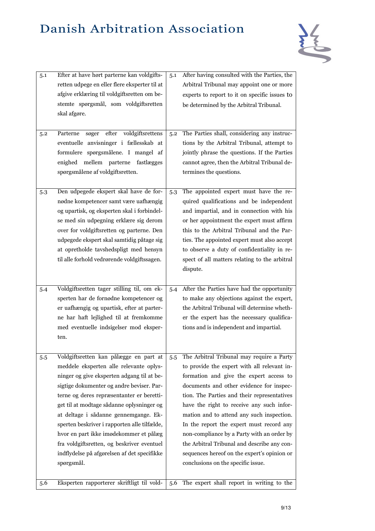

| 5.1 | Efter at have hørt parterne kan voldgifts-<br>retten udpege en eller flere eksperter til at<br>afgive erklæring til voldgiftsretten om be-<br>stemte spørgsmål, som voldgiftsretten<br>skal afgøre.                                                                                                                                                                                                                                                                                                                  | 5.1 | After having consulted with the Parties, the<br>Arbitral Tribunal may appoint one or more<br>experts to report to it on specific issues to<br>be determined by the Arbitral Tribunal.                                                                                                                                                                                                                                                                                                                                                                  |
|-----|----------------------------------------------------------------------------------------------------------------------------------------------------------------------------------------------------------------------------------------------------------------------------------------------------------------------------------------------------------------------------------------------------------------------------------------------------------------------------------------------------------------------|-----|--------------------------------------------------------------------------------------------------------------------------------------------------------------------------------------------------------------------------------------------------------------------------------------------------------------------------------------------------------------------------------------------------------------------------------------------------------------------------------------------------------------------------------------------------------|
| 5.2 | efter voldgiftsrettens<br>Parterne<br>søger<br>eventuelle anvisninger i fællesskab at<br>formulere spørgsmålene. I mangel af<br>enighed mellem parterne fastlægges<br>spørgsmålene af voldgiftsretten.                                                                                                                                                                                                                                                                                                               | 5.2 | The Parties shall, considering any instruc-<br>tions by the Arbitral Tribunal, attempt to<br>jointly phrase the questions. If the Parties<br>cannot agree, then the Arbitral Tribunal de-<br>termines the questions.                                                                                                                                                                                                                                                                                                                                   |
| 5.3 | Den udpegede ekspert skal have de for-<br>nødne kompetencer samt være uafhængig<br>og upartisk, og eksperten skal i forbindel-<br>se med sin udpegning erklære sig derom<br>over for voldgiftsretten og parterne. Den<br>udpegede ekspert skal samtidig påtage sig<br>at opretholde tavshedspligt med hensyn<br>til alle forhold vedrørende voldgiftssagen.                                                                                                                                                          | 5.3 | The appointed expert must have the re-<br>quired qualifications and be independent<br>and impartial, and in connection with his<br>or her appointment the expert must affirm<br>this to the Arbitral Tribunal and the Par-<br>ties. The appointed expert must also accept<br>to observe a duty of confidentiality in re-<br>spect of all matters relating to the arbitral<br>dispute.                                                                                                                                                                  |
| 5.4 | Voldgiftsretten tager stilling til, om ek-<br>sperten har de fornødne kompetencer og<br>er uafhængig og upartisk, efter at parter-<br>ne har haft lejlighed til at fremkomme<br>med eventuelle indsigelser mod eksper-<br>ten.                                                                                                                                                                                                                                                                                       | 5.4 | After the Parties have had the opportunity<br>to make any objections against the expert,<br>the Arbitral Tribunal will determine wheth-<br>er the expert has the necessary qualifica-<br>tions and is independent and impartial.                                                                                                                                                                                                                                                                                                                       |
| 5.5 | Voldgiftsretten kan pålægge en part at<br>meddele eksperten alle relevante oplys-<br>ninger og give eksperten adgang til at be-<br>sigtige dokumenter og andre beviser. Par-<br>terne og deres repræsentanter er beretti-<br>get til at modtage sådanne oplysninger og<br>at deltage i sådanne gennemgange. Ek-<br>sperten beskriver i rapporten alle tilfælde,<br>hvor en part ikke imødekommer et pålæg<br>fra voldgiftsretten, og beskriver eventuel<br>indflydelse på afgørelsen af det specifikke<br>spørgsmål. | 5.5 | The Arbitral Tribunal may require a Party<br>to provide the expert with all relevant in-<br>formation and give the expert access to<br>documents and other evidence for inspec-<br>tion. The Parties and their representatives<br>have the right to receive any such infor-<br>mation and to attend any such inspection.<br>In the report the expert must record any<br>non-compliance by a Party with an order by<br>the Arbitral Tribunal and describe any con-<br>sequences hereof on the expert's opinion or<br>conclusions on the specific issue. |
| 5.6 | Eksperten rapporterer skriftligt til vold-                                                                                                                                                                                                                                                                                                                                                                                                                                                                           | 5.6 | The expert shall report in writing to the                                                                                                                                                                                                                                                                                                                                                                                                                                                                                                              |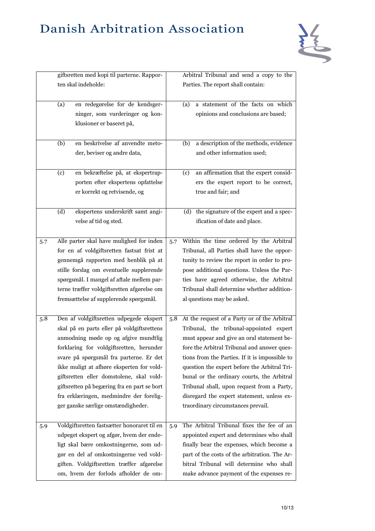

|     | giftsretten med kopi til parterne. Rappor-  | Arbitral Tribunal and send a copy to the            |
|-----|---------------------------------------------|-----------------------------------------------------|
|     | ten skal indeholde:                         | Parties. The report shall contain:                  |
|     |                                             |                                                     |
|     | (a)<br>en redegørelse for de kendsger-      | a statement of the facts on which<br>(a)            |
|     | ninger, som vurderinger og kon-             | opinions and conclusions are based;                 |
|     | klusioner er baseret på,                    |                                                     |
|     |                                             |                                                     |
|     | en beskrivelse af anvendte meto-<br>(b)     | a description of the methods, evidence<br>(b)       |
|     | der, beviser og andre data,                 | and other information used;                         |
|     |                                             |                                                     |
|     | en bekræftelse på, at ekspertrap-<br>(c)    | an affirmation that the expert consid-<br>(c)       |
|     | porten efter ekspertens opfattelse          | ers the expert report to be correct,                |
|     | er korrekt og retvisende, og                | true and fair; and                                  |
|     |                                             |                                                     |
|     | ekspertens underskrift samt angi-<br>(d)    | the signature of the expert and a spec-<br>(d)      |
|     | velse af tid og sted.                       | ification of date and place.                        |
|     |                                             |                                                     |
| 5.7 | Alle parter skal have mulighed for inden    | Within the time ordered by the Arbitral<br>5.7      |
|     | for en af voldgiftsretten fastsat frist at  | Tribunal, all Parties shall have the oppor-         |
|     | gennemgå rapporten med henblik på at        | tunity to review the report in order to pro-        |
|     | stille forslag om eventuelle supplerende    | pose additional questions. Unless the Par-          |
|     | spørgsmål. I mangel af aftale mellem par-   | ties have agreed otherwise, the Arbitral            |
|     | terne træffer voldgiftsretten afgørelse om  | Tribunal shall determine whether addition-          |
|     | fremsættelse af supplerende spørgsmål.      | al questions may be asked.                          |
|     |                                             |                                                     |
| 5.8 | Den af voldgiftsretten udpegede ekspert     | At the request of a Party or of the Arbitral<br>5.8 |
|     | skal på en parts eller på voldgiftsrettens  | Tribunal, the tribunal-appointed expert             |
|     | anmodning møde op og afgive mundtlig        | must appear and give an oral statement be-          |
|     | forklaring for voldgiftsretten, herunder    | fore the Arbitral Tribunal and answer ques-         |
|     | svare på spørgsmål fra parterne. Er det     | tions from the Parties. If it is impossible to      |
|     | ikke muligt at afhøre eksperten for vold-   | question the expert before the Arbitral Tri-        |
|     | giftsretten eller domstolene, skal vold-    | bunal or the ordinary courts, the Arbitral          |
|     | giftsretten på begæring fra en part se bort | Tribunal shall, upon request from a Party,          |
|     | fra erklæringen, medmindre der forelig-     | disregard the expert statement, unless ex-          |
|     | ger ganske særlige omstændigheder.          | traordinary circumstances prevail.                  |
|     |                                             |                                                     |
| 5.9 | Voldgiftsretten fastsætter honoraret til en | The Arbitral Tribunal fixes the fee of an<br>5.9    |
|     | udpeget ekspert og afgør, hvem der ende-    | appointed expert and determines who shall           |
|     | ligt skal bære omkostningerne, som ud-      | finally bear the expenses, which become a           |
|     | gør en del af omkostningerne ved vold-      | part of the costs of the arbitration. The Ar-       |
|     | giften. Voldgiftsretten træffer afgørelse   | bitral Tribunal will determine who shall            |
|     | om, hvem der forlods afholder de om-        |                                                     |
|     |                                             | make advance payment of the expenses re-            |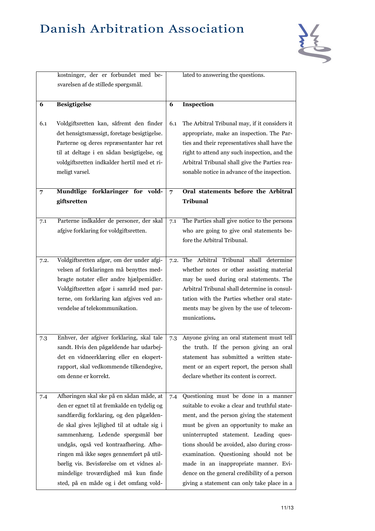

|      | kostninger, der er forbundet med be-<br>svarelsen af de stillede spørgsmål.                                                                                                                                                                                                                                                                                                                                                                |                | lated to answering the questions.                                                                                                                                                                                                                                                                                                                                                                                                                        |
|------|--------------------------------------------------------------------------------------------------------------------------------------------------------------------------------------------------------------------------------------------------------------------------------------------------------------------------------------------------------------------------------------------------------------------------------------------|----------------|----------------------------------------------------------------------------------------------------------------------------------------------------------------------------------------------------------------------------------------------------------------------------------------------------------------------------------------------------------------------------------------------------------------------------------------------------------|
| 6    | <b>Besigtigelse</b>                                                                                                                                                                                                                                                                                                                                                                                                                        | 6              | Inspection                                                                                                                                                                                                                                                                                                                                                                                                                                               |
| 6.1  | Voldgiftsretten kan, såfremt den finder<br>det hensigtsmæssigt, foretage besigtigelse.<br>Parterne og deres repræsentanter har ret<br>til at deltage i en sådan besigtigelse, og<br>voldgiftsretten indkalder hertil med et ri-<br>meligt varsel.                                                                                                                                                                                          | 6.1            | The Arbitral Tribunal may, if it considers it<br>appropriate, make an inspection. The Par-<br>ties and their representatives shall have the<br>right to attend any such inspection, and the<br>Arbitral Tribunal shall give the Parties rea-<br>sonable notice in advance of the inspection.                                                                                                                                                             |
| 7    | Mundtlige forklaringer for vold-<br>giftsretten                                                                                                                                                                                                                                                                                                                                                                                            | $\overline{7}$ | Oral statements before the Arbitral<br><b>Tribunal</b>                                                                                                                                                                                                                                                                                                                                                                                                   |
| 7.1  | Parterne indkalder de personer, der skal<br>afgive forklaring for voldgiftsretten.                                                                                                                                                                                                                                                                                                                                                         | 7.1            | The Parties shall give notice to the persons<br>who are going to give oral statements be-<br>fore the Arbitral Tribunal.                                                                                                                                                                                                                                                                                                                                 |
| 7.2. | Voldgiftsretten afgør, om der under afgi-<br>velsen af forklaringen må benyttes med-<br>bragte notater eller andre hjælpemidler.<br>Voldgiftsretten afgør i samråd med par-<br>terne, om forklaring kan afgives ved an-<br>vendelse af telekommunikation.                                                                                                                                                                                  | 7.2.           | The Arbitral Tribunal shall determine<br>whether notes or other assisting material<br>may be used during oral statements. The<br>Arbitral Tribunal shall determine in consul-<br>tation with the Parties whether oral state-<br>ments may be given by the use of telecom-<br>munications.                                                                                                                                                                |
| 7.3  | Enhver, der afgiver forklaring, skal tale<br>sandt. Hvis den pågældende har udarbej-<br>det en vidneerklæring eller en ekspert-<br>rapport, skal vedkommende tilkendegive,<br>om denne er korrekt.                                                                                                                                                                                                                                         | 7.3            | Anyone giving an oral statement must tell<br>the truth. If the person giving an oral<br>statement has submitted a written state-<br>ment or an expert report, the person shall<br>declare whether its content is correct.                                                                                                                                                                                                                                |
| 7.4  | Afhøringen skal ske på en sådan måde, at<br>den er egnet til at fremkalde en tydelig og<br>sandfærdig forklaring, og den pågælden-<br>de skal gives lejlighed til at udtale sig i<br>sammenhæng. Ledende spørgsmål bør<br>undgås, også ved kontraafhøring. Afhø-<br>ringen må ikke søges gennemført på util-<br>børlig vis. Bevisførelse om et vidnes al-<br>mindelige troværdighed må kun finde<br>sted, på en måde og i det omfang vold- | 7.4            | Questioning must be done in a manner<br>suitable to evoke a clear and truthful state-<br>ment, and the person giving the statement<br>must be given an opportunity to make an<br>uninterrupted statement. Leading ques-<br>tions should be avoided, also during cross-<br>examination. Questioning should not be<br>made in an inappropriate manner. Evi-<br>dence on the general credibility of a person<br>giving a statement can only take place in a |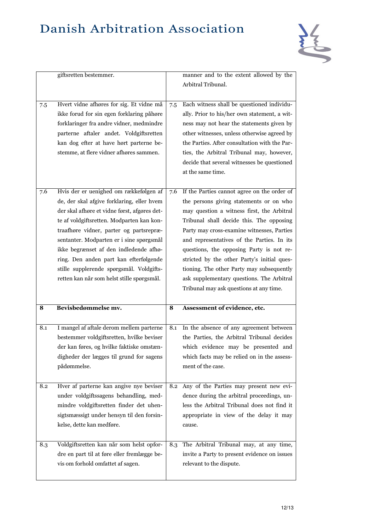

|     | giftsretten bestemmer.                                                                                                                                                                                                                                                                                                                                                                                                                                 |     | manner and to the extent allowed by the<br>Arbitral Tribunal.                                                                                                                                                                                                                                                                                                                                                                                                                                                |
|-----|--------------------------------------------------------------------------------------------------------------------------------------------------------------------------------------------------------------------------------------------------------------------------------------------------------------------------------------------------------------------------------------------------------------------------------------------------------|-----|--------------------------------------------------------------------------------------------------------------------------------------------------------------------------------------------------------------------------------------------------------------------------------------------------------------------------------------------------------------------------------------------------------------------------------------------------------------------------------------------------------------|
| 7.5 | Hvert vidne afhøres for sig. Et vidne må<br>ikke forud for sin egen forklaring påhøre<br>forklaringer fra andre vidner, medmindre<br>parterne aftaler andet. Voldgiftsretten<br>kan dog efter at have hørt parterne be-<br>stemme, at flere vidner afhøres sammen.                                                                                                                                                                                     | 7.5 | Each witness shall be questioned individu-<br>ally. Prior to his/her own statement, a wit-<br>ness may not hear the statements given by<br>other witnesses, unless otherwise agreed by<br>the Parties. After consultation with the Par-<br>ties, the Arbitral Tribunal may, however,<br>decide that several witnesses be questioned<br>at the same time.                                                                                                                                                     |
| 7.6 | Hvis der er uenighed om rækkefølgen af<br>de, der skal afgive forklaring, eller hvem<br>der skal afhøre et vidne først, afgøres det-<br>te af voldgiftsretten. Modparten kan kon-<br>traafhøre vidner, parter og partsrepræ-<br>sentanter. Modparten er i sine spørgsmål<br>ikke begrænset af den indledende afhø-<br>ring. Den anden part kan efterfølgende<br>stille supplerende spørgsmål. Voldgifts-<br>retten kan når som helst stille spørgsmål. | 7.6 | If the Parties cannot agree on the order of<br>the persons giving statements or on who<br>may question a witness first, the Arbitral<br>Tribunal shall decide this. The opposing<br>Party may cross-examine witnesses, Parties<br>and representatives of the Parties. In its<br>questions, the opposing Party is not re-<br>stricted by the other Party's initial ques-<br>tioning. The other Party may subsequently<br>ask supplementary questions. The Arbitral<br>Tribunal may ask questions at any time. |
| 8   | Bevisbedømmelse mv.                                                                                                                                                                                                                                                                                                                                                                                                                                    | 8   | Assessment of evidence, etc.                                                                                                                                                                                                                                                                                                                                                                                                                                                                                 |
| 8.1 | I mangel af aftale derom mellem parterne<br>bestemmer voldgiftsretten, hvilke beviser<br>der kan føres, og hvilke faktiske omstæn-<br>digheder der lægges til grund for sagens<br>pådømmelse.                                                                                                                                                                                                                                                          | 8.1 | In the absence of any agreement between<br>the Parties, the Arbitral Tribunal decides<br>which evidence may be presented and<br>which facts may be relied on in the assess-<br>ment of the case.                                                                                                                                                                                                                                                                                                             |
| 8.2 | Hver af parterne kan angive nye beviser<br>under voldgiftssagens behandling, med-<br>mindre voldgiftsretten finder det uhen-<br>sigtsmæssigt under hensyn til den forsin-<br>kelse, dette kan medføre.                                                                                                                                                                                                                                                 | 8.2 | Any of the Parties may present new evi-<br>dence during the arbitral proceedings, un-<br>less the Arbitral Tribunal does not find it<br>appropriate in view of the delay it may<br>cause.                                                                                                                                                                                                                                                                                                                    |
| 8.3 | Voldgiftsretten kan når som helst opfor-<br>dre en part til at føre eller fremlægge be-<br>vis om forhold omfattet af sagen.                                                                                                                                                                                                                                                                                                                           | 8.3 | The Arbitral Tribunal may, at any time,<br>invite a Party to present evidence on issues<br>relevant to the dispute.                                                                                                                                                                                                                                                                                                                                                                                          |